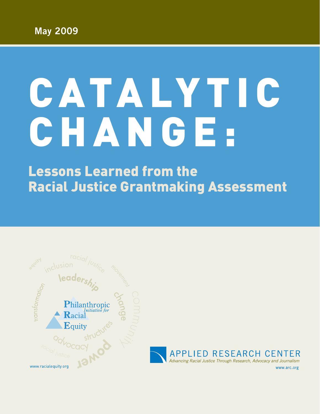# CATALYTIC CHANGE.

Lessons Learned from the Racial Justice Grantmaking Assessment

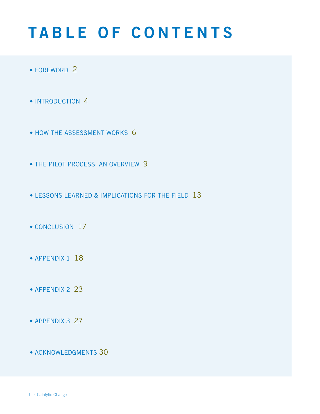# **TABLE OF CONTENTS**

- FOREWORD 2
- INTRODUCTION 4
- HOW THE ASSESSMENT WORKS 6
- THE PILOT PROCESS: AN OVERVIEW 9
- Lessons Learned & Implications for the Field 13
- CONCLUSION 17
- APPENDIX 1 18
- APPENDIX 2 23
- APPENDIX 3 27
- acknowledgments 30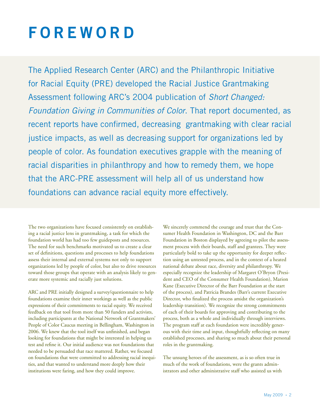# **FOREWORD**

The Applied Research Center (ARC) and the Philanthropic Initiative for Racial Equity (PRE) developed the Racial Justice Grantmaking Assessment following ARC's 2004 publication of *Short Changed: Foundation Giving in Communities of Color*. That report documented, as recent reports have confirmed, decreasing grantmaking with clear racial justice impacts, as well as decreasing support for organizations led by people of color. As foundation executives grapple with the meaning of racial disparities in philanthropy and how to remedy them, we hope that the ARC-PRE assessment will help all of us understand how foundations can advance racial equity more effectively.

The two organizations have focused consistently on establishing a racial justice lens in grantmaking, a task for which the foundation world has had too few guideposts and resources. The need for such benchmarks motivated us to create a clear set of definitions, questions and processes to help foundations assess their internal and external systems not only to support organizations led by people of color, but also to drive resources toward those groups that operate with an analysis likely to generate more systemic and racially just solutions.

ARC and PRE initially designed a survey/questionnaire to help foundations examine their inner workings as well as the public expressions of their commitments to racial equity. We received feedback on that tool from more than 50 funders and activists, including participants at the National Network of Grantmakers' People of Color Caucus meeting in Bellingham, Washington in 2006. We knew that the tool itself was unfinished, and began looking for foundations that might be interested in helping us test and refine it. Our initial audience was not foundations that needed to be persuaded that race mattered. Rather, we focused on foundations that were committed to addressing racial inequities, and that wanted to understand more deeply how their institutions were faring, and how they could improve.

We sincerely commend the courage and trust that the Consumer Health Foundation in Washington, DC and the Barr Foundation in Boston displayed by agreeing to pilot the assessment process with their boards, staff and grantees. They were particularly bold to take up the opportunity for deeper reflection using an untested process, and in the context of a heated national debate about race, diversity and philanthropy. We especially recognize the leadership of Margaret O'Bryon (President and CEO of the Consumer Health Foundation), Marion Kane (Executive Director of the Barr Foundation at the start of the process), and Patricia Brandes (Barr's current Executive Director, who finalized the process amidst the organization's leadership transition). We recognize the strong commitments of each of their boards for approving and contributing to the process, both as a whole and individually through interviews. The program staff at each foundation were incredibly generous with their time and input, thoughtfully reflecting on many established processes, and sharing so much about their personal roles in the grantmaking.

The unsung heroes of the assessment, as is so often true in much of the work of foundations, were the grants administrators and other administrative staff who assisted us with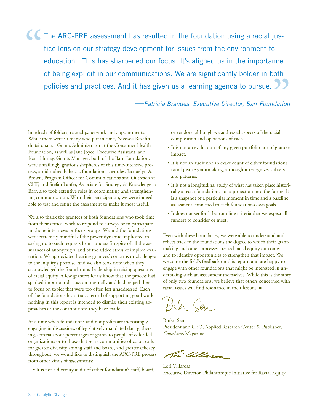The ARC-PRE assessment has resulted in the foundation using a racial justice lens on our strategy development for issues from the environment to education. This has sharpened our focus. It's aligned us in the importance of being explicit in our communications. We are significantly bolder in both policies and practices. And it has given us a learning agenda to pursue. " "

—*Patricia Brandes, Executive Director, Barr Foundation* 

hundreds of folders, related paperwork and appointments. While there were so many who put in time, Nivosoa Razafindratsitohaina, Grants Administrator at the Consumer Health Foundation, as well as Jane Joyce, Executive Assistant, and Kerri Hurley, Grants Manager, both of the Barr Foundation, were unfailingly gracious shepherds of this time-intensive process, amidst already hectic foundation schedules. Jacquelyn A. Brown, Program Officer for Communications and Outreach at CHF, and Stefan Lanfer, Associate for Strategy & Knowledge at Barr, also took extensive roles in coordinating and strengthening communication. With their participation, we were indeed able to test and refine the assessment to make it most useful.

We also thank the grantees of both foundations who took time from their critical work to respond to surveys or to participate in phone interviews or focus groups. We and the foundations were extremely mindful of the power dynamic implicated in saying no to such requests from funders (in spite of all the assurances of anonymity), and of the added stress of implied evaluation. We appreciated hearing grantees' concerns or challenges to the inquiry's premise, and we also took note when they acknowledged the foundations' leadership in raising questions of racial equity. A few grantees let us know that the process had sparked important discussion internally and had helped them to focus on topics that were too often left unaddressed. Each of the foundations has a track record of supporting good work; nothing in this report is intended to dismiss their existing approaches or the contributions they have made.

At a time when foundations and nonprofits are increasingly engaging in discussions of legislatively mandated data gathering, criteria about percentages of grants to people of color-led organizations or to those that serve communities of color, calls for greater diversity among staff and board, and greater efficacy throughout, we would like to distinguish the ARC-PRE process from other kinds of assessments:

• It is not a diversity audit of either foundation's staff, board,

or vendors, although we addressed aspects of the racial composition and operations of each.

- It is not an evaluation of any given portfolio nor of grantee impact.
- It is not an audit nor an exact count of either foundation's racial justice grantmaking, although it recognizes subsets and patterns.
- It is not a longitudinal study of what has taken place historically at each foundation, nor a projection into the future. It is a snapshot of a particular moment in time and a baseline assessment connected to each foundation's own goals.
- It does not set forth bottom line criteria that we expect all funders to consider or meet.

Even with these boundaries, we were able to understand and reflect back to the foundations the degree to which their grantmaking and other processes created racial equity outcomes, and to identify opportunities to strengthen that impact. We welcome the field's feedback on this report, and are happy to engage with other foundations that might be interested in undertaking such an assessment themselves. While this is the story of only two foundations, we believe that others concerned with racial issues will find resonance in their lessons.  $\blacksquare$ 

Kinken Sen

Rinku Sen President and CEO, Applied Research Center & Publisher, *ColorLines* Magazine

Tri Willard

Lori Villarosa Executive Director, Philanthropic Initiative for Racial Equity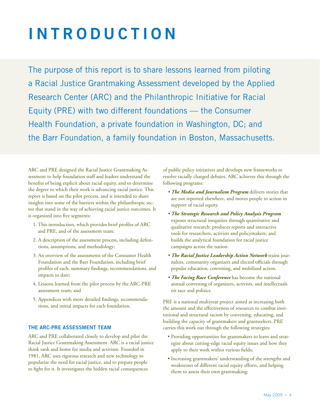# **i ntrod u ct i on**

The purpose of this report is to share lessons learned from piloting a Racial Justice Grantmaking Assessment developed by the Applied Research Center (ARC) and the Philanthropic Initiative for Racial Equity (PRE) with two different foundations — the Consumer Health Foundation, a private foundation in Washington, DC; and the Barr Foundation, a family foundation in Boston, Massachusetts.

ARC and PRE designed the Racial Justice Grantmaking Assessment to help foundation staff and leaders understand the benefits of being explicit about racial equity, and to determine the degree to which their work is advancing racial justice. This report is based on the pilot process, and is intended to share insights into some of the barriers within the philanthropic sector that stand in the way of achieving racial justice outcomes. It is organized into five segments:

- 1. This introduction, which provides brief profiles of ARC and PRE, and of the assessment team;
- 2. A description of the assessment process, including definitions, assumptions, and methodology;
- 3. An overview of the assessments of the Consumer Health Foundation and the Barr Foundation, including brief profiles of each, summary findings, recommendations, and impacts to date;
- 4. Lessons learned from the pilot process by the ARC-PRE assessment team; and
- 5. Appendices with more detailed findings, recommendations, and initial impacts for each foundation.

# **The ARC-PRE Assessment Team**

ARC and PRE collaborated closely to develop and pilot the Racial Justice Grantmaking Assessment. ARC is a racial justice think tank and home for media and activism. Founded in 1981, ARC uses rigorous research and new technology to popularize the need for racial justice, and to prepare people to fight for it. It investigates the hidden racial consequences

of public policy initiatives and develops new frameworks to resolve racially charged debates. ARC achieves this through the following programs:

- *The Media and Journalism Program* delivers stories that are not reported elsewhere, and moves people to action in support of racial equity.
- *The Strategic Research and Policy Analysis Program* exposes structural inequities through quantitative and qualitative research; produces reports and interactive tools for researchers, activists and policymakers; and builds the analytical foundation for racial justice campaigns across the nation.
- *The Racial Justice Leadership Action Network* trains journalists, community organizers and elected officials through popular education, convening, and mobilized action.
- *The Facing Race Conference* has become the national annual convening of organizers, activists, and intellectuals on race and politics.

PRE is a national multiyear project aimed at increasing both the amount and the effectiveness of resources to combat institutional and structural racism by convening, educating, and building the capacity of grantmakers and grantseekers. PRE carries this work out through the following strategies:

- Providing opportunities for grantmakers to learn and strategize about cutting-edge racial equity issues and how they apply to their work within various fields;
- Increasing grantmakers' understanding of the strengths and weaknesses of different racial equity efforts, and helping them to assess their own grantmaking;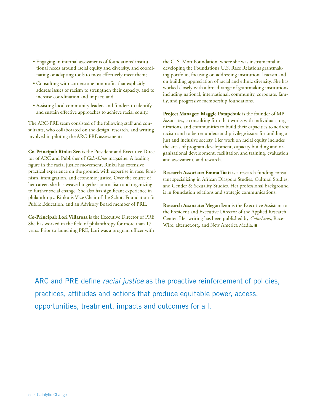- Engaging in internal assessments of foundations' institutional needs around racial equity and diversity, and coordinating or adapting tools to most effectively meet them;
- Consulting with cornerstone nonprofits that explicitly address issues of racism to strengthen their capacity, and to increase coordination and impact; and
- Assisting local community leaders and funders to identify and sustain effective approaches to achieve racial equity.

The ARC-PRE team consisted of the following staff and consultants, who collaborated on the design, research, and writing involved in piloting the ARC-PRE assessment:

**Co-Principal: Rinku Sen** is the President and Executive Director of ARC and Publisher of *ColorLines* magazine. A leading figure in the racial justice movement, Rinku has extensive practical experience on the ground, with expertise in race, feminism, immigration, and economic justice. Over the course of her career, she has weaved together journalism and organizing to further social change. She also has significant experience in philanthropy. Rinku is Vice Chair of the Schott Foundation for Public Education, and an Advisory Board member of PRE.

**Co-Principal: Lori Villarosa** is the Executive Director of PRE. She has worked in the field of philanthropy for more than 17 years. Prior to launching PRE, Lori was a program officer with

the C. S. Mott Foundation, where she was instrumental in developing the Foundation's U.S. Race Relations grantmaking portfolio, focusing on addressing institutional racism and on building appreciation of racial and ethnic diversity. She has worked closely with a broad range of grantmaking institutions including national, international, community, corporate, family, and progressive membership foundations.

**Project Manager: Maggie Potapchuk** is the founder of MP Associates, a consulting firm that works with individuals, organizations, and communities to build their capacities to address racism and to better understand privilege issues for building a just and inclusive society. Her work on racial equity includes the areas of program development, capacity building and organizational development, facilitation and training, evaluation and assessment, and research.

**Research Associate: Emma Taati** is a research funding consultant specializing in African Diaspora Studies, Cultural Studies, and Gender & Sexuality Studies. Her professional background is in foundation relations and strategic communications.

**Research Associate: Megan Izen** is the Executive Assistant to the President and Executive Director of the Applied Research Center. Her writing has been published by *ColorLines*, Race-Wire, alternet.org, and New America Media.

ARC and PRE define *racial justice* as the proactive reinforcement of policies, practices, attitudes and actions that produce equitable power, access, opportunities, treatment, impacts and outcomes for all.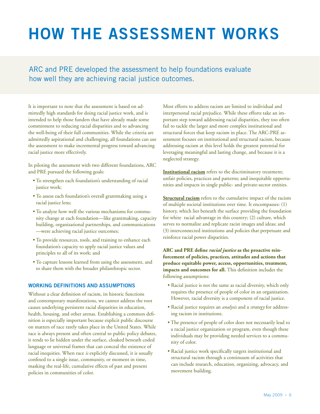# **how the assessment works**

ARC and PRE developed the assessment to help foundations evaluate how well they are achieving racial justice outcomes.

It is important to note that the assessment is based on admittedly high standards for doing racial justice work, and is intended to help those funders that have already made some commitment to reducing racial disparities and to advancing the well-being of their full communities. While the criteria are admittedly aspirational and challenging, all foundations can use the assessment to make incremental progress toward advancing racial justice more effectively.

In piloting the assessment with two different foundations, ARC and PRE pursued the following goals:

- To strengthen each foundation's understanding of racial justice work;
- To assess each foundation's overall grantmaking using a racial justice lens;
- To analyze how well the various mechanisms for community change at each foundation—like grantmaking, capacity building, organizational partnerships, and communications —were achieving racial justice outcomes;
- To provide resources, tools, and training to enhance each foundation's capacity to apply racial justice values and principles to all of its work; and
- To capture lessons learned from using the assessment, and to share them with the broader philanthropic sector.

# **Working Definitions and Assumptions**

Without a clear definition of racism, its historic functions and contemporary manifestations, we cannot address the root causes underlying persistent racial disparities in education, health, housing, and other arenas. Establishing a common definition is especially important because explicit public discourse on matters of race rarely takes place in the United States. While race is always present and often central to public policy debates, it tends to lie hidden under the surface, cloaked beneath coded language or universal frames that can conceal the existence of racial inequities. When race *is* explicitly discussed, it is usually confined to a single issue, community, or moment in time, masking the real-life, cumulative effects of past and present policies in communities of color.

Most efforts to address racism are limited to individual and interpersonal racial prejudice. While these efforts take an important step toward addressing racial disparities, they too often fail to tackle the larger and more complex institutional and structural forces that keep racism in place. The ARC-PRE assessment focuses on institutional and structural racism, because addressing racism at this level holds the greatest potential for leveraging meaningful and lasting change, and because it is a neglected strategy.

**Institutional racism** refers to the discriminatory treatment; unfair policies, practices and patterns; and inequitable opportunities and impacts in single public- and private-sector entities.

**Structural racism** refers to the cumulative impact of the racism of multiple societal institutions over time. It encompasses: (1) history, which lies beneath the surface providing the foundation for white racial advantage in this country; (2) culture, which serves to normalize and replicate racist images and ideas; and (3) interconnected institutions and policies that perpetuate and reinforce racial power disparities.

**ARC and PRE define** *racial justice* **as the proactive reinforcement of policies, practices, attitudes and actions that produce equitable power, access, opportunities, treatment, impacts and outcomes for all.** This definition includes the following assumptions:

- Racial justice is not the same as racial diversity, which only requires the presence of people of color in an organization. However, racial diversity is a component of racial justice.
- Racial justice requires an *analysis* and a *strategy* for addressing racism in institutions.
- The presence of people of color does not necessarily lead to a racial justice organization or program, even though these individuals may be providing needed services to a community of color.
- Racial justice work specifically targets institutional and structural racism through a continuum of activities that can include research, education, organizing, advocacy, and movement building.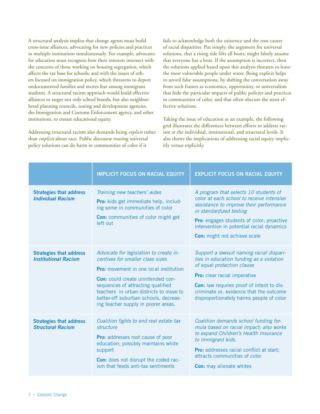A structural analysis implies that change agents must build cross-issue alliances, advocating for new policies and practices in multiple institutions simultaneously. For example, advocates for education must recognize how their interests intersect with the concerns of those working on housing segregation, which affects the tax base for schools; and with the issues of others focused on immigration policy, which threatens to deport undocumented families and incites fear among immigrant students. A structural racism approach would build effective alliances to target not only school boards, but also neighborhood planning councils, zoning and development agencies, the Immigration and Customs Enforcement agency, and other institutions, to ensure educational equity.

Addressing structural racism also demands being *explicit* rather than *implicit* about race. Public discourse touting universal policy solutions can do harm in communities of color if it

fails to acknowledge both the existence and the root causes of racial disparities. Put simply, the argument for universal solutions, that a rising tide lifts all boats, might falsely assume that everyone has a boat. If the assumption is incorrect, then the solutions applied based upon this analysis threaten to leave the most vulnerable people under water. Being explicit helps to unveil false assumptions, by shifting the conversation away from such frames as economics, opportunity, or universalism that hide the particular impacts of public policies and practices in communities of color, and that often obscure the most effective solutions.

Taking the issue of education as an example, the following grid illustrates the differences between efforts to address racism at the individual, institutional, and structural levels. It also shows the implications of addressing racial equity implicitly versus explicitly.

|                                                               | <b>IMPLICIT FOCUS ON RACIAL EQUITY</b>                                                                                                                                                                                                                                                                                                 | <b>EXPLICIT FOCUS ON RACIAL EQUITY</b>                                                                                                                                                                                                                                                        |
|---------------------------------------------------------------|----------------------------------------------------------------------------------------------------------------------------------------------------------------------------------------------------------------------------------------------------------------------------------------------------------------------------------------|-----------------------------------------------------------------------------------------------------------------------------------------------------------------------------------------------------------------------------------------------------------------------------------------------|
| <b>Strategies that address</b><br><b>Individual Racism</b>    | Training new teachers' aides<br>Pro: kids get immediate help, includ-<br>ing some in communities of color<br><b>Con:</b> communities of color might get<br>left out                                                                                                                                                                    | A program that selects 10 students of<br>color at each school to receive intensive<br>assistance to improve their performance<br>in standardized testing<br><b>Pro:</b> engages students of color; proactive<br>intervention in potential racial dynamics<br>Con: might not achieve scale     |
| <b>Strategies that address</b><br><b>Institutional Racism</b> | Advocate for legislation to create in-<br>centives for smaller class sizes<br><b>Pro:</b> movement in one local institution<br><b>Con:</b> could create unintended con-<br>sequences of attracting qualified<br>teachers in urban districts to move to<br>better-off suburban schools, decreas-<br>ing teacher supply in poorer areas. | Support a lawsuit naming racial dispari-<br>ties in education funding as a violation<br>of equal protection clause<br><b>Pro:</b> clear racial imperative<br>Con: law requires proof of intent to dis-<br>criminate vs. evidence that the outcome<br>disproportionately harms people of color |
| <b>Strategies that address</b><br><b>Structural Racism</b>    | Coalition fights to end real estate tax<br>structure<br>Pro: addresses root cause of poor<br>education; possibly maintains white<br>support<br>Con: does not disrupt the coded rac-<br>ism that feeds anti-tax sentiments                                                                                                              | Coalition demands school funding for-<br>mula based on racial impact; also works<br>to expand Children's Health Insurance<br>to immigrant kids.<br>Pro: addresses racial conflict at start;<br>attracts communities of color<br><b>Con:</b> may alienate whites                               |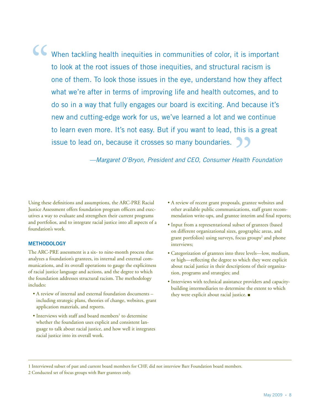"

When tackling health inequities in communities of color, it is important to look at the root issues of those inequities, and structural racism is one of them. To look those issues in the eye, understand how they affect what we're after in terms of improving life and health outcomes, and to do so in a way that fully engages our board is exciting. And because it's new and cutting-edge work for us, we've learned a lot and we continue to learn even more. It's not easy. But if you want to lead, this is a great issue to lead on, because it crosses so many boundaries.  $"$ 

*—Margaret O'Bryon, President and CEO, Consumer Health Foundation*

Using these definitions and assumptions, the ARC-PRE Racial Justice Assessment offers foundation program officers and executives a way to evaluate and strengthen their current programs and portfolios, and to integrate racial justice into all aspects of a foundation's work.

# **Methodology**

The ARC-PRE assessment is a six- to nine-month process that analyzes a foundation's grantees, its internal and external communications, and its overall operations to gauge the explicitness of racial justice language and actions, and the degree to which the foundation addresses structural racism. The methodology includes:

- A review of internal and external foundation documents including strategic plans, theories of change, websites, grant application materials, and reports.
- Interviews with staff and board members<sup>1</sup> to determine whether the foundation uses explicit and consistent language to talk about racial justice, and how well it integrates racial justice into its overall work.
- A review of recent grant proposals, grantee websites and other available public communications, staff grant recommendation write-ups, and grantee interim and final reports;
- Input from a representational subset of grantees (based on different organizational sizes, geographic areas, and grant portfolios) using surveys, focus groups<sup>2</sup> and phone interviews;
- Categorization of grantees into three levels—low, medium, or high—reflecting the degree to which they were explicit about racial justice in their descriptions of their organization, programs and strategies; and
- Interviews with technical assistance providers and capacitybuilding intermediaries to determine the extent to which they were explicit about racial justice.  $\blacksquare$

1 Interviewed subset of past and current board members for CHF, did not interview Barr Foundation board members.

2 Conducted set of focus groups with Barr grantees only.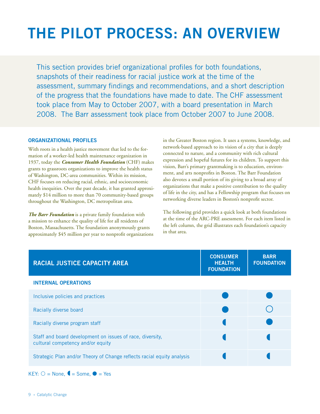# **the pilot process: an overview**

This section provides brief organizational profiles for both foundations, snapshots of their readiness for racial justice work at the time of the assessment, summary findings and recommendations, and a short description of the progress that the foundations have made to date. The CHF assessment took place from May to October 2007, with a board presentation in March 2008. The Barr assessment took place from October 2007 to June 2008.

### **Organizational Profiles**

With roots in a health justice movement that led to the formation of a worker-led health maintenance organization in 1937, today the *Consumer Health Foundation* (CHF) makes grants to grassroots organizations to improve the health status of Washington, DC-area communities. Within its mission, CHF focuses on reducing racial, ethnic, and socioeconomic health inequities. Over the past decade, it has granted approximately \$14 million to more than 70 community-based groups throughout the Washington, DC metropolitan area.

*The Barr Foundation* is a private family foundation with a mission to enhance the quality of life for all residents of Boston, Massachusetts. The foundation anonymously grants approximately \$45 million per year to nonprofit organizations in the Greater Boston region. It uses a systems, knowledge, and network-based approach to its vision of a city that is deeply connected to nature, and a community with rich cultural expression and hopeful futures for its children. To support this vision, Barr's primary grantmaking is to education, environment, and arts nonprofits in Boston. The Barr Foundation also devotes a small portion of its giving to a broad array of organizations that make a positive contribution to the quality of life in the city, and has a Fellowship program that focuses on networking diverse leaders in Boston's nonprofit sector.

The following grid provides a quick look at both foundations at the time of the ARC-PRE assessment. For each item listed in the left column, the grid illustrates each foundation's capacity in that area.

| <b>RACIAL JUSTICE CAPACITY AREA</b>                                                            | <b>CONSUMER</b><br><b>HEALTH</b><br><b>FOUNDATION</b> | <b>BARR</b><br><b>FOUNDATION</b> |
|------------------------------------------------------------------------------------------------|-------------------------------------------------------|----------------------------------|
| <b>INTERNAL OPERATIONS</b>                                                                     |                                                       |                                  |
| Inclusive policies and practices                                                               |                                                       |                                  |
| Racially diverse board                                                                         |                                                       |                                  |
| Racially diverse program staff                                                                 |                                                       |                                  |
| Staff and board development on issues of race, diversity,<br>cultural competency and/or equity |                                                       |                                  |
| Strategic Plan and/or Theory of Change reflects racial equity analysis                         |                                                       |                                  |

 $KEY: O = None, \blacklozenge = Some, \blacklozenge = Yes$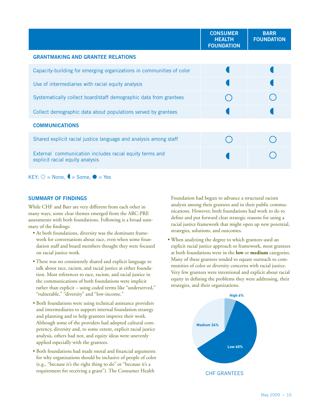|                                                                                            | <b>CONSUMER</b><br><b>HEALTH</b><br><b>FOUNDATION</b> | <b>BARR</b><br><b>FOUNDATION</b> |
|--------------------------------------------------------------------------------------------|-------------------------------------------------------|----------------------------------|
| <b>GRANTMAKING AND GRANTEE RELATIONS</b>                                                   |                                                       |                                  |
| Capacity-building for emerging organizations in communities of color                       |                                                       |                                  |
| Use of intermediaries with racial equity analysis                                          |                                                       |                                  |
| Systematically collect board/staff demographic data from grantees                          |                                                       |                                  |
| Collect demographic data about populations served by grantees                              |                                                       |                                  |
| <b>COMMUNICATIONS</b>                                                                      |                                                       |                                  |
| Shared explicit racial justice language and analysis among staff                           |                                                       |                                  |
| External communication includes racial equity terms and<br>explicit racial equity analysis |                                                       |                                  |

 $KEY: O = None, \nightharpoonup = Some, \nightharpoonup = Yes$ 

# **Summary of Findings**

While CHF and Barr are very different from each other in many ways, some clear themes emerged from the ARC-PRE assessments with both foundations. Following is a broad summary of the findings:

- At both foundations, diversity was the dominant framework for conversations about race, even when some foundation staff and board members thought they were focused on racial justice work.
- There was no consistently shared and explicit language to talk about race, racism, and racial justice at either foundation. Most references to race, racism, and racial justice in the communications of both foundations were implicit rather than explicit – using coded terms like "underserved," "vulnerable," "diversity" and "low-income."
- Both foundations were using technical assistance providers and intermediaries to support internal foundation strategy and planning and to help grantees improve their work. Although some of the providers had adopted cultural competency, diversity and, to some extent, explicit racial justice analysis, others had not, and equity ideas were unevenly applied especially with the grantees.
- Both foundations had made moral and financial arguments for why organizations should be inclusive of people of color (e.g., "because it's the right thing to do" or "because it's a requirement for receiving a grant"). The Consumer Health

Foundation had begun to advance a structural racism analysis among their grantees and in their public communications. However, both foundations had work to do to define and put forward clear strategic reasons for using a racial justice framework that might open up new potential, strategies, solutions, and outcomes.

• When analyzing the degree to which grantees used an explicit racial justice approach or framework, most grantees at both foundations were in the **low** or **medium** categories. Many of these grantees tended to equate outreach to communities of color or diversity concerns with racial justice. Very few grantees were intentional and explicit about racial equity in defining the problems they were addressing, their strategies, and their organizations.

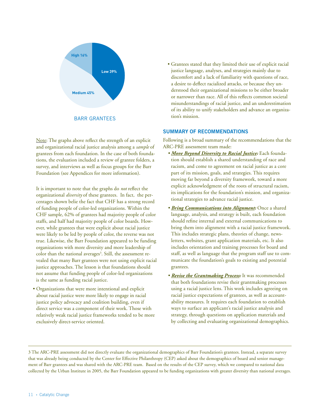

Note: The graphs above reflect the strength of an explicit and organizational racial justice analysis among a *sample* of grantees from each foundation. In the case of both foundations, the evaluation included a review of grantee folders, a survey, and interviews as well as focus groups for the Barr Foundation (see Appendices for more information).

It is important to note that the graphs do *not* reflect the organizational *diversity* of these grantees. In fact, the percentages shown belie the fact that CHF has a strong record of funding people of color-led organizations. Within the CHF sample, 62% of grantees had majority people of color staffs, and half had majority people of color boards. However, while grantees that were explicit about racial justice were likely to be led by people of color, the reverse was not true. Likewise, the Barr Foundation appeared to be funding organizations with more diversity and more leadership of color than the national averages<sup>3</sup>. Still, the assessment revealed that many Barr grantees were not using explicit racial justice approaches. The lesson is that foundations should not assume that funding people of color-led organizations is the same as funding racial justice.

• Organizations that were more intentional and explicit about racial justice were more likely to engage in racial justice policy advocacy and coalition building, even if direct service was a component of their work. Those with relatively weak racial justice frameworks tended to be more exclusively direct-service oriented.

• Grantees stated that they limited their use of explicit racial justice language, analyses, and strategies mainly due to discomfort and a lack of familiarity with questions of race, a desire to deflect racialized attacks, or because they understood their organizational missions to be either broader or narrower than race. All of this reflects common societal misunderstandings of racial justice, and an underestimation of its ability to unify stakeholders and advance an organization's mission.

# **Summary of Recommendations**

Following is a broad summary of the recommendations that the ARC-PRE assessment team made:

- *• Move Beyond Diversity to Racial Justice:* Each foundation should establish a shared understanding of race and racism, and come to agreement on racial justice as a core part of its mission, goals, and strategies. This requires moving far beyond a diversity framework, toward a more explicit acknowledgment of the roots of structural racism, its implications for the foundation's mission, and organizational strategies to advance racial justice.
- *• Bring Communications into Alignment:* Once a shared language, analysis, and strategy is built, each foundation should refine internal and external communications to bring them into alignment with a racial justice framework. This includes strategic plans, theories of change, newsletters, websites, grant application materials, etc. It also includes orientation and training processes for board and staff, as well as language that the program staff use to communicate the foundation's goals to existing and potential grantees.
- *Revise the Grantmaking Process:* It was recommended that both foundations revise their grantmaking processes using a racial justice lens. This work includes agreeing on racial justice expectations of grantees, as well as accountability measures. It requires each foundation to establish ways to surface an applicant's racial justice analysis and strategy, through questions on application materials and by collecting and evaluating organizational demographics.

3 The ARC-PRE assessment did not directly evaluate the organizational demographics of Barr Foundation's grantees. Instead, a separate survey that was already being conducted by the Center for Effective Philanthropy (CEP) asked about the demographics of board and senior management of Barr grantees and was shared with the ARC-PRE team. Based on the results of the CEP survey, which we compared to national data collected by the Urban Institute in 2005, the Barr Foundation appeared to be funding organizations with greater diversity than national averages.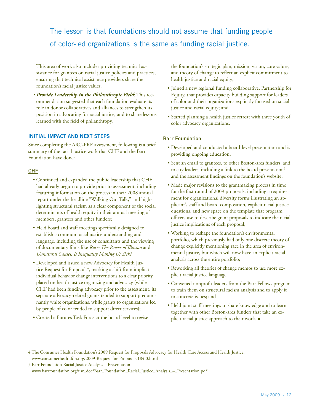The lesson is that foundations should not assume that funding people of color-led organizations is the same as funding racial justice.

This area of work also includes providing technical assistance for grantees on racial justice policies and practices, ensuring that technical assistance providers share the foundation's racial justice values.

*• Provide Leadership in the Philanthropic Field*: This recommendation suggested that each foundation evaluate its role in donor collaboratives and alliances to strengthen its position in advocating for racial justice, and to share lessons learned with the field of philanthropy.

# **Initial Impact and Next Steps**

Since completing the ARC-PRE assessment, following is a brief summary of the racial justice work that CHF and the Barr Foundation have done:

# CHF

- Continued and expanded the public leadership that CHF had already begun to provide prior to assessment, including featuring information on the process in their 2008 annual report under the headline "Walking Our Talk," and highlighting structural racism as a clear component of the social determinants of health equity in their annual meeting of members, grantees and other funders;
- Held board and staff meetings specifically designed to establish a common racial justice understanding and language, including the use of consultants and the viewing of documentary films like *Race: The Power of Illusion* and *Unnatural Causes: Is Inequality Making Us Sick?*
- Developed and issued a new Advocacy for Health Justice Request for Proposals<sup>4</sup>, marking a shift from implicit individual behavior change interventions to a clear priority placed on health justice organizing and advocacy (while CHF had been funding advocacy prior to the assessment, its separate advocacy-related grants tended to support predominantly white organizations, while grants to organizations led by people of color tended to support direct services);
- Created a Futures Task Force at the board level to revise

the foundation's strategic plan, mission, vision, core values, and theory of change to reflect an explicit commitment to health justice and racial equity;

- Joined a new regional funding collaborative, Partnership for Equity, that provides capacity building support for leaders of color and their organizations explicitly focused on social justice and racial equity; and
- Started planning a health justice retreat with three youth of color advocacy organizations.

# Barr Foundation

- Developed and conducted a board-level presentation and is providing ongoing education;
- Sent an email to grantees, to other Boston-area funders, and to city leaders, including a link to the board presentation<sup>5</sup> and the assessment findings on the foundation's website;
- Made major revisions to the grantmaking process in time for the first round of 2009 proposals, including a requirement for organizational diversity forms illustrating an applicant's staff and board composition, explicit racial justice questions, and new space on the template that program officers use to describe grant proposals to indicate the racial justice implications of each proposal;
- Working to reshape the foundation's environmental portfolio, which previously had only one discrete theory of change explicitly mentioning race in the area of environmental justice, but which will now have an explicit racial analysis across the entire portfolio;
- Reworking all theories of change memos to use more explicit racial justice language;
- Convened nonprofit leaders from the Barr Fellows program to train them on structural racism analysis and to apply it to concrete issues; and
- Held joint staff meetings to share knowledge and to learn together with other Boston-area funders that take an explicit racial justice approach to their work.

5 Barr Foundation Racial Justice Analysis – Presentation

<sup>4</sup> The Consumer Health Foundation's 2009 Request for Proposals Advocacy for Health Care Access and Health Justice. <www.consumerhealthfdn.org/2009-Request-for-Proposals.184.0.html>

[www.barrfoundation.org/usr\\_doc/Barr\\_Foundation\\_Racial\\_Justice\\_Analysis\\_–\\_Presentation.pd](http://www.barrfoundation.org/usr_doc/Barr_Foundation_Racial_Justice_Analysis_%E2%80%93_Presentation.pdf)f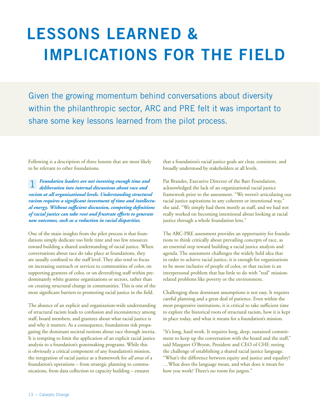# **lessons learned & implications for the field**

Given the growing momentum behind conversations about diversity within the philanthropic sector, ARC and PRE felt it was important to share some key lessons learned from the pilot process.

Following is a description of three lessons that are most likely to be relevant to other foundations.

*Foundation leaders are not investing enough time and deliberation into internal discussions about race and racism at all organizational levels. Understanding structural racism requires a significant investment of time and intellectual energy. Without sufficient discussion, competing definitions of racial justice can take root and frustrate efforts to generate new outcomes, such as a reduction in racial disparities.*  1

One of the main insights from the pilot process is that foundations simply dedicate too little time and too few resources toward building a shared understanding of racial justice. When conversations about race do take place at foundations, they are usually confined to the staff level. They also tend to focus on increasing outreach or services to communities of color, on supporting grantees of color, or on diversifying staff within predominantly white grantee organizations or sectors, rather than on creating structural change in communities. This is one of the most significant barriers to promoting racial justice in the field.

The absence of an explicit and organization-wide understanding of structural racism leads to confusion and inconsistency among staff, board members, and grantees about what racial justice is and why it matters. As a consequence, foundations risk propagating the dominant societal notions about race through inertia. It is tempting to limit the application of an explicit racial justice analysis to a foundation's grantmaking programs. While this is obviously a critical component of any foundation's mission, the integration of racial justice as a framework for *all areas* of a foundation's operations – from strategic planning to communications, from data collection to capacity building – ensures

that a foundation's racial justice goals are clear, consistent, and broadly understood by stakeholders at all levels.

Pat Brandes, Executive Director of the Barr Foundation, acknowledged the lack of an organizational racial justice framework prior to the assessment. "We weren't articulating our racial justice aspirations in any coherent or intentional way," she said. "We simply had them mostly as staff, and we had not really worked on becoming intentional about looking at racial justice through a whole foundation lens."

The ARC-PRE assessment provides an opportunity for foundations to think critically about prevailing concepts of race, as an essential step toward building a racial justice analysis and agenda. The assessment challenges the widely held idea that in order to achieve racial justice, it is enough for organizations to be more inclusive of people of color, or that racism is an interpersonal problem that has little to do with "real" missionrelated problems like poverty or the environment.

Challenging these dominant assumptions is not easy. It requires careful planning and a great deal of patience. Even within the most progressive institutions, it is critical to take sufficient time to explore the historical roots of structural racism, how it is kept in place today, and what it means for a foundation's mission.

"It's long, hard work. It requires long, deep, sustained commitment to keep up the conversation with the board and the staff," said Margaret O'Bryon, President and CEO of CHF, noting the challenge of establishing a shared racial justice language. "What's the difference between equity and justice and equality? …What does the language mean, and what does it mean for how you work? There's no room for jargon."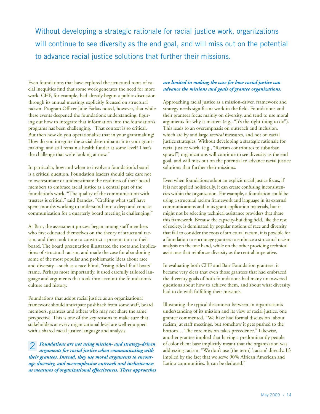Without developing a strategic rationale for racial justice work, organizations will continue to see diversity as the end goal, and will miss out on the potential to advance racial justice solutions that further their missions.

Even foundations that have explored the structural roots of racial inequities find that some work generates the need for more work. CHF, for example, had already begun a public discussion through its annual meetings explicitly focused on structural racism. Program Officer Julie Farkas noted, however, that while these events deepened the foundation's understanding, figuring out how to integrate that information into the foundation's programs has been challenging. "That context is so critical. But then how do you operationalize that in your grantmaking? How do you integrate the social determinants into your grantmaking, and still remain a health funder at some level? That's the challenge that we're looking at now."

In particular, how and when to involve a foundation's board is a critical question. Foundation leaders should take care not to overestimate or underestimate the readiness of their board members to embrace racial justice as a central part of the foundation's work. "The quality of the communication with trustees is critical," said Brandes. "Crafting what staff have spent months working to understand into a deep and concise communication for a quarterly board meeting is challenging."

At Barr, the assessment process began among staff members who first educated themselves on the theory of structural racism, and then took time to construct a presentation to their board. The board presentation illustrated the roots and implications of structural racism, and made the case for abandoning some of the most popular and problematic ideas about race and diversity—such as a race-blind, "rising tides lift all boats" frame. Perhaps most importantly, it used carefully tailored language and arguments that took into account the foundation's culture and history.

Foundations that adopt racial justice as an organizational framework should anticipate pushback from some staff, board members, grantees and others who may not share the same perspective. This is one of the key reasons to make sure that stakeholders at every organizational level are well-equipped with a shared racial justice language and analysis.

*Foundations are not using mission- and strategy-driven arguments for racial justice when communicating with their grantees. Instead, they use moral arguments to encourage diversity, and overemphasize outreach and inclusiveness as measures of organizational effectiveness. These approaches*  2

# *are limited in making the case for how racial justice can advance the missions and goals of grantee organizations.*

Approaching racial justice as a mission-driven framework and strategy needs significant work in the field. Foundations and their grantees focus mainly on diversity, and tend to use moral arguments for why it matters (e.g., "It's the right thing to do"). This leads to an overemphasis on outreach and inclusion, which are by and large *tactical* measures, and not on racial justice strategies. Without developing a strategic rationale for racial justice work, (e.g., "Racism contributes to suburban sprawl") organizations will continue to see diversity as the end goal, and will miss out on the potential to advance racial justice solutions that further their missions.

Even when foundations adopt an explicit racial justice focus, if it is not applied holistically, it can create confusing inconsistencies within the organization. For example, a foundation could be using a structural racism framework and language in its external communications and in its grant application materials, but it might not be selecting technical assistance providers that share this framework. Because the capacity-building field, like the rest of society, is dominated by popular notions of race and diversity that fail to consider the roots of structural racism, it is possible for a foundation to encourage grantees to embrace a structural racism analysis on the one hand, while on the other providing technical assistance that reinforces diversity as the central imperative.

In evaluating both CHF and Barr Foundation grantees, it became very clear that even those grantees that had embraced the diversity goals of both foundations had many unanswered questions about how to achieve them, and about what diversity had to do with fulfilling their missions.

Illustrating the typical disconnect between an organization's understanding of its mission and its view of racial justice, one grantee commented, "We have had formal discussion [about racism] at staff meetings, but somehow it gets pushed to the bottom… The core mission takes precedence." Likewise, another grantee implied that having a predominantly people of color client base implicitly meant that the organization was addressing racism: "We don't use [the term] 'racism' directly. It's implied by the fact that we serve 90% African American and Latino communities. It can be deduced."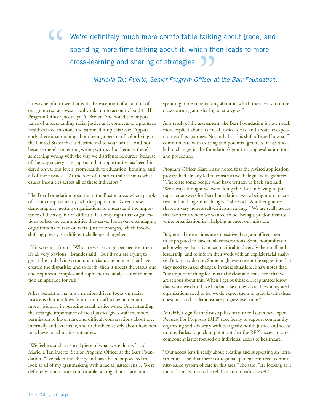# We're definitely much more comfortable talking about [race] and spending more time talking about it, which then leads to more cross-learning and sharing of strategies. " **99**<br>fficer a

*—Mariella Tan Puerto, Senior Program Officer at the Barr Foundation.*

"It was helpful to see that with the exception of a handful of our grantees, race wasn't really taken into account," said CHF Program Officer Jacquelyn A. Brown. She noted the importance of understanding racial justice as it connects to a grantee's health-related mission, and summed it up this way: "Apparently there is something about being a person of color living in the United States that is detrimental to your health. And not because there's something wrong with *us*, but because there's something wrong with the way we distribute resources, because of the way society is set up such that opportunity has been hindered on various levels, from health to education, housing, and all of these issues… At the root of it, structural racism is what causes inequities across all of these indicators."

The Barr Foundation operates in the Boston area, where people of color comprise nearly half the population. Given these demographics, getting organizations to understand the importance of diversity is not difficult. It is only right that organizations reflect the communities they serve. However, encouraging organizations to take on racial justice *strategies*, which involve shifting power, is a different challenge altogether.

"If it were just from a 'Who are we serving?' perspective, then it's all very obvious," Brandes said. "But if you are trying to get at the underlying structural racism, the policies that have created the disparities and so forth, then it upsets the status quo and requires a complex and sophisticated analysis, not to mention an aptitude for risk."

A key benefit of having a mission-driven focus on racial justice is that it allows foundation staff to be bolder and more visionary in pursuing racial justice work. Understanding the strategic importance of racial justice gives staff members permission to have frank and difficult conversations about race internally and externally, and to think creatively about how best to achieve racial justice outcomes.

"We feel it's such a central piece of what we're doing," said Mariella Tan Puerto, Senior Program Officer at the Barr Foundation. "I've taken the liberty and have been empowered to look at all of my grantmaking with a racial justice lens… We're definitely much more comfortable talking about [race] and

spending more time talking about it, which then leads to more cross-learning and sharing of strategies."

As a result of the assessment, the Barr Foundation is now much more explicit about its racial justice focus, and about its expectations of its grantees. Not only has this shift affected how staff communicate with existing and potential grantees, it has also led to changes in the foundation's grantmaking evaluation tools and procedures.

Program Officer Klare Shaw noted that the revised application process had already led to constructive dialogue with grantees. "There are some people who have written us back and said, 'We always thought we were doing this, but in having to put together answers for Barr Foundation, we're being more reflective and making some changes,'" she said. "Another grantee shared a very honest self-criticism, saying, "'We are really aware that we aren't where we wanted to be. Being a predominantly white organization isn't helping us meet our mission."

But, not all interactions are so positive. Program officers need to be prepared to have frank conversations. Some nonprofits do acknowledge that it is mission critical to diversify their staff and leadership, and to inform their work with an explicit racial analysis. But, many do not. Some might even resent the suggestion that they need to make changes. In these situations, Shaw notes that, "the important thing for us is to be clear and consistent that we are serious about this. When I get pushback, I let grantees know that while we don't have hard and fast rules about how integrated organizations need to be, we do expect them to grapple with these questions, and to demonstrate progress over time."

At CHF, a significant first step has been to roll out a new, open Request For Proposals (RFP) specifically to support community organizing and advocacy with two goals: health justice and access to care. Farkas is quick to point out that the RFP's access to care component is not focused on individual access to healthcare.

"Our access lens is really about creating and supporting an infrastructure… so that there is a regional, patient-centered, community-based system of care in this area," she said. "It's looking at it more from a structural level than an individual level."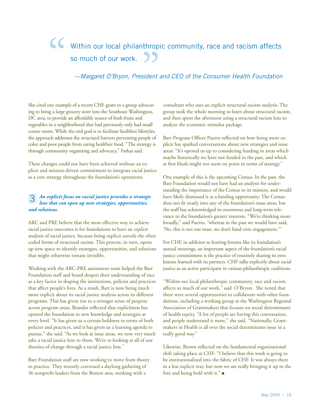# Within our local philanthropic community, race and racism affects so much of our work. " **SS**<br>
sident

# *—Margaret O'Bryon, President and CEO of the Consumer Health Foundation*

She cited one example of a recent CHF grant to a group advocating to bring a large grocery store into the Southeast Washington, DC area, to provide an affordable source of fresh fruits and vegetables in a neighborhood that had previously only had small corner stores. While the end goal is to facilitate healthier lifestyles, the approach addresses the structural barriers preventing people of color and poor people from eating healthier food. "The strategy is through community organizing and advocacy," Farkas said.

These changes could not have been achieved without an explicit and mission-driven commitment to integrate racial justice as a core strategy throughout the foundation's operations.

#### *An explicit focus on racial justice provides a strategic lens that can open up new strategies, opportunities, and solutions.* 3

ARC and PRE believe that the most effective way to achieve racial justice outcomes is for foundations to have an *explicit* analysis of racial justice, because being explicit unveils the often coded forms of structural racism. This process, in turn, opens up new space to identify strategies, opportunities, and solutions that might otherwise remain invisible.

Working with the ARC-PRE assessment team helped the Barr Foundation staff and board deepen their understanding of race as a key factor in shaping the institutions, policies and practices that affect people's lives. As a result, Barr is now being much more explicit about its racial justice analysis across its different programs. This has given rise to a stronger sense of purpose across program areas. Brandes reflected that explicitness has opened the foundation to new knowledge and strategies at every level. "It has given us a certain boldness in terms of both policies and practices, and it has given us a learning agenda to pursue," she said. "As we look at issue areas, we now very much take a racial justice lens to them. We're re-looking at all of our theories of change through a racial justice lens."

Barr Foundation staff are now working to move from theory to practice. They recently convened a daylong gathering of 36 nonprofit leaders from the Boston area, working with a

consultant who uses an explicit structural racism analysis. The group took the whole morning to learn about structural racism, and then spent the afternoon using a structural racism lens to analyze the economic stimulus package.

Barr Program Officer Puerto reflected on how being more explicit has sparked conversations about new strategies and issue areas: "It's opened us up to considering funding in areas which maybe historically we have not funded in the past, and which at first blush might not seem on point in terms of strategy."

One example of this is the upcoming Census. In the past, the Barr Foundation would not have had an analysis for understanding the importance of the Census to its mission, and would have likely dismissed it as a funding opportunity. The Census does not fit neatly into any of the foundation's issue areas, but the staff has acknowledged its enormous and long-term relevance to the foundation's greater interests. "We're thinking more broadly," said Puerto, "whereas in the past we would have said, 'No, this is not our issue, we don't fund civic engagement.'"

For CHF, in addition to hosting forums like its foundation's annual meetings, an important aspect of the foundation's racial justice commitment is the practice of routinely sharing its own lessons learned with its partners. CHF talks explicitly about racial justice as an active participant in various philanthropic coalitions.

"Within our local philanthropic community, race and racism affects so much of our work," said O'Bryon. She noted that there were several opportunities to collaborate with other foundations, including a working group at the Washington Regional Association of Grantmakers that focuses on social determinants of health equity. "A lot of people are having this conversation, and people understand it more," she said. "Nationally, Grantmakers in Health is all over the social determinants issue in a really good way."

Likewise, Brown reflected on the fundamental organizational shift taking place at CHF: "I believe that this work is going to be institutionalized into the fabric of CHF. It was always there in a less explicit way, but now we are really bringing it up to the fore and being bold with it." $\blacksquare$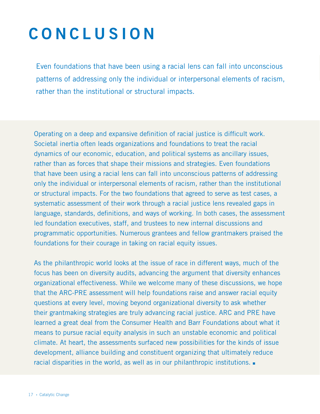# **concl u s i on**

Even foundations that have been using a racial lens can fall into unconscious patterns of addressing only the individual or interpersonal elements of racism, rather than the institutional or structural impacts.

Operating on a deep and expansive definition of racial justice is difficult work. Societal inertia often leads organizations and foundations to treat the racial dynamics of our economic, education, and political systems as ancillary issues, rather than as forces that shape their missions and strategies. Even foundations that have been using a racial lens can fall into unconscious patterns of addressing only the individual or interpersonal elements of racism, rather than the institutional or structural impacts. For the two foundations that agreed to serve as test cases, a systematic assessment of their work through a racial justice lens revealed gaps in language, standards, definitions, and ways of working. In both cases, the assessment led foundation executives, staff, and trustees to new internal discussions and programmatic opportunities. Numerous grantees and fellow grantmakers praised the foundations for their courage in taking on racial equity issues.

As the philanthropic world looks at the issue of race in different ways, much of the focus has been on diversity audits, advancing the argument that diversity enhances organizational effectiveness. While we welcome many of these discussions, we hope that the ARC-PRE assessment will help foundations raise and answer racial equity questions at every level, moving beyond organizational diversity to ask whether their grantmaking strategies are truly advancing racial justice. ARC and PRE have learned a great deal from the Consumer Health and Barr Foundations about what it means to pursue racial equity analysis in such an unstable economic and political climate. At heart, the assessments surfaced new possibilities for the kinds of issue development, alliance building and constituent organizing that ultimately reduce racial disparities in the world, as well as in our philanthropic institutions.  $\blacksquare$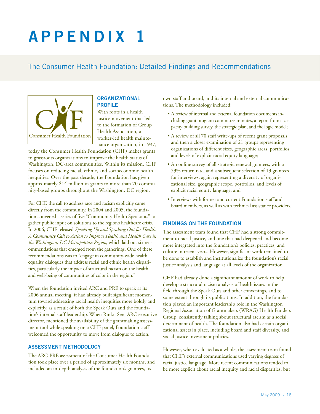# **append i x 1**

# The Consumer Health Foundation: Detailed Findings and Recommendations



# **Organizational Profile**

With roots in a health justice movement that led to the formation of Group Health Association, a worker-led health maintenance organization, in 1937,

today the Consumer Health Foundation (CHF) makes grants to grassroots organizations to improve the health status of Washington, DC-area communities. Within its mission, CHF focuses on reducing racial, ethnic, and socioeconomic health inequities. Over the past decade, the Foundation has given approximately \$14 million in grants to more than 70 community-based groups throughout the Washington, DC region.

For CHF, the call to address race and racism explicitly came directly from the community. In 2004 and 2005, the foundation convened a series of five "Community Health Speakouts" to gather public input on solutions to the region's healthcare crisis. In 2006, CHF released *Speaking Up and Speaking Out for Health: A Community Call to Action to Improve Health and Health Care in the Washington, DC Metropolitan Region*, which laid out six recommendations that emerged from the gatherings. One of these recommendations was to "engage in community-wide health equality dialogues that address racial and ethnic health disparities, particularly the impact of structural racism on the health and well-being of communities of color in the region."

When the foundation invited ARC and PRE to speak at its 2006 annual meeting, it had already built significant momentum toward addressing racial health inequities more boldly and explicitly, as a result of both the Speak Outs and the foundation's internal staff leadership. When Rinku Sen, ARC executive director, mentioned the availability of the grantmaking assessment tool while speaking on a CHF panel, Foundation staff welcomed the opportunity to move from dialogue to action.

# **Assessment Methodology**

The ARC-PRE assessment of the Consumer Health Foundation took place over a period of approximately six months, and included an in-depth analysis of the foundation's grantees, its

own staff and board, and its internal and external communications. The methodology included:

- A review of internal and external foundation documents including grant program committee minutes, a report from a capacity building survey, the strategic plan, and the logic model;
- A review of all 70 staff write-ups of recent grant proposals, and then a closer examination of 21 groups representing organizations of different sizes, geographic areas, portfolios, and levels of explicit racial equity language;
- An online survey of all strategic renewal grantees, with a 73% return rate, and a subsequent selection of 13 grantees for interviews, again representing a diversity of organizational size, geographic scope, portfolios, and levels of explicit racial equity language; and
- Interviews with former and current Foundation staff and board members, as well as with technical assistance providers.

# **Findings on the Foundation**

The assessment team found that CHF had a strong commitment to racial justice, and one that had deepened and become more integrated into the foundation's policies, practices, and culture in recent years. However, significant work remained to be done to establish and institutionalize the foundation's racial justice analysis and language at all levels of the organization.

CHF had already done a significant amount of work to help develop a structural racism analysis of health issues in the field through the Speak Outs and other convenings, and to some extent through its publications. In addition, the foundation played an important leadership role in the Washington Regional Association of Grantmakers (WRAG) Health Funders Group, consistently talking about structural racism as a social determinant of health. The foundation also had certain organizational assets in place, including board and staff diversity, and social justice investment policies.

However, when evaluated as a whole, the assessment team found that CHF's external communications used varying degrees of racial justice language. More recent communications tended to be more explicit about racial inequity and racial disparities, but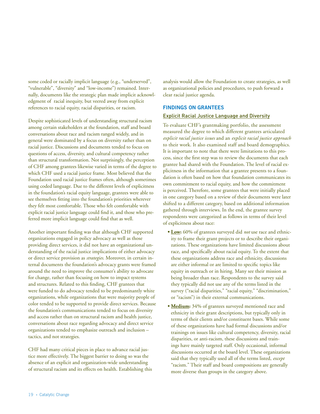some coded or racially implicit language (e.g., "underserved", "vulnerable", "diversity" and "low-income") remained. Internally, documents like the strategic plan made implicit acknowledgment of racial inequity, but veered away from explicit references to racial equity, racial disparities, or racism.

Despite sophisticated levels of understanding structural racism among certain stakeholders at the foundation, staff and board conversations about race and racism ranged widely, and in general were dominated by a focus on diversity rather than on racial justice. Discussions and documents tended to focus on questions of access, diversity, and cultural competency rather than structural transformation. Not surprisingly, the perception of CHF among grantees likewise varied in terms of the degree to which CHF used a racial justice frame. Most believed that the Foundation used racial justice frames often, although sometimes using coded language. Due to the different levels of explicitness in the foundation's racial equity language, grantees were able to see themselves fitting into the foundation's priorities wherever they felt most comfortable. Those who felt comfortable with explicit racial justice language could find it, and those who preferred more implicit language could find that as well.

Another important finding was that although CHF supported organizations engaged in policy advocacy as well as those providing direct services, it did not have an organizational understanding of the racial justice implications of either advocacy or direct service provision as *strategies*. Moreover, in certain internal documents the foundation's advocacy grants were framed around the need to improve the consumer's ability to advocate for change, rather than focusing on how to impact systems and structures. Related to this finding, CHF grantees that were funded to do advocacy tended to be predominantly white organizations, while organizations that were majority people of color tended to be supported to provide direct services. Because the foundation's communications tended to focus on diversity and access rather than on structural racism and health justice, conversations about race regarding advocacy and direct service organizations tended to emphasize outreach and inclusion – tactics, and not strategies.

CHF had many critical pieces in place to advance racial justice more effectively. The biggest barrier to doing so was the absence of an explicit and organization-wide understanding of structural racism and its effects on health. Establishing this analysis would allow the Foundation to create strategies, as well as organizational policies and procedures, to push forward a clear racial justice agenda.

# **Findings on Grantees**

### Explicit Racial Justice Language and Diversity

To evaluate CHF's grantmaking portfolio, the assessment measured the degree to which different grantees articulated *explicit racial justice issues* and an *explicit racial justice approach* to their work. It also examined staff and board demographics. It is important to note that there were limitations to this process, since the first step was to review the documents that each grantee had shared with the Foundation. The level of racial explicitness in the information that a grantee presents to a foundation is often based on how that foundation communicates its own commitment to racial equity, and how the commitment is perceived. Therefore, some grantees that were initially placed in one category based on a review of their documents were later shifted to a different category, based on additional information gathered through interviews. In the end, the grantee survey respondents were categorized as follows in terms of their level of explicitness about race:

- **Low:** 60% of grantees surveyed did *not* use race and ethnicity to frame their grant projects or to describe their organizations. These organizations have limited discussions about race, and specifically about racial equity. To the extent that these organizations address race and ethnicity, discussions are either informal or are limited to specific topics like equity in outreach or in hiring. Many see their mission as being broader than race. Respondents to the survey said they typically did not use any of the terms listed in the survey ("racial disparities," "racial equity," "discrimination," or "racism") in their external communications.
- **Medium:** 34% of grantees surveyed mentioned race and ethnicity in their grant descriptions, but typically only in terms of their clients and/or constituent bases. While some of these organizations have had formal discussions and/or trainings on issues like cultural competency, diversity, racial disparities, or anti-racism, these discussions and trainings have mainly targeted staff. Only occasional, informal discussions occurred at the board level. These organizations said that they typically used all of the terms listed, *except* "racism." Their staff and board compositions are generally more diverse than groups in the category above.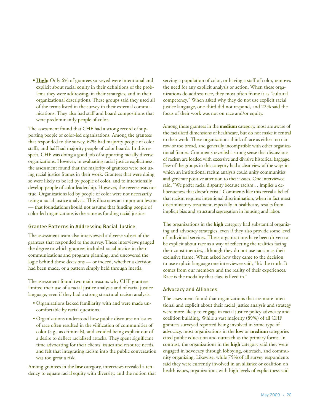**• High:** Only 6% of grantees surveyed were intentional and explicit about racial equity in their definitions of the problems they were addressing, in their strategies, and in their organizational descriptions. These groups said they used all of the terms listed in the survey in their external communications. They also had staff and board compositions that were predominantly people of color.

The assessment found that CHF had a strong record of supporting people of color-led organizations. Among the grantees that responded to the survey, 62% had majority people of color staffs, and half had majority people of color boards. In this respect, CHF was doing a good job of supporting racially diverse organizations. However, in evaluating racial justice explicitness, the assessment found that the majority of grantees were not using racial justice frames in their work. Grantees that were doing so were likely to be led by people of color, and to intentionally develop people of color leadership. However, the reverse was not true. Organizations led by people of color were not necessarily using a racial justice analysis. This illustrates an important lesson — that foundations should not assume that funding people of color-led organizations is the same as funding racial justice.

#### Grantee Patterns in Addressing Racial Justice

The assessment team also interviewed a diverse subset of the grantees that responded to the survey. These interviews gauged the degree to which grantees included racial justice in their communications and program planning, and uncovered the logic behind those decisions — or indeed, whether a decision had been made, or a pattern simply held through inertia.

The assessment found two main reasons why CHF grantees limited their use of a racial justice analysis and of racial justice language, even if they had a strong structural racism analysis:

- Organizations lacked familiarity with and were made uncomfortable by racial questions.
- Organizations understood how public discourse on issues of race often resulted in the vilification of communities of color (e.g., as criminals), and avoided being explicit out of a desire to deflect racialized attacks. They spent significant time advocating for their clients' issues and resource needs, and felt that integrating racism into the public conversation was too great a risk.

Among grantees in the **low** category, interviews revealed a tendency to equate racial equity with diversity, and the notion that serving a population of color, or having a staff of color, removes the need for any explicit analysis or action. When these organizations do address race, they most often frame it as "cultural competency." When asked why they do not use explicit racial justice language, one-third did not respond, and 22% said the focus of their work was not on race and/or equity.

Among those grantees in the **medium** category, most are aware of the racialized dimensions of healthcare, but do not make it central to their work. These organizations think of race as either too narrow or too broad, and generally incompatible with other organizational frames. Comments revealed a strong sense that discussions of racism are loaded with excessive and divisive historical baggage. Few of the groups in this category had a clear view of the ways in which an institutional racism analysis could unify communities and generate positive attention to their issues. One interviewee said, "We prefer racial disparity because racism… implies a deliberateness that doesn't exist." Comments like this reveal a belief that racism requires intentional discrimination, when in fact most discriminatory treatment, especially in healthcare, results from implicit bias and structural segregation in housing and labor.

The organizations in the **high** category had substantial organizing and advocacy strategies, even if they also provide some level of individual services. These organizations have been driven to be explicit about race as a way of reflecting the realities facing their constituencies, although they do not use racism as their exclusive frame. When asked how they came to the decision to use explicit language one interviewee said, "It's the truth. It comes from our members and the reality of their experiences. Race is the modality that class is lived in."

#### Advocacy and Alliances

The assessment found that organizations that are more intentional and explicit about their racial justice analysis and strategy were more likely to engage in racial justice policy advocacy and coalition building. While a vast majority (89%) of all CHF grantees surveyed reported being involved in some type of advocacy, most organizations in the **low** or **medium** categories cited public education and outreach as the primary forms. In contrast, the organizations in the **high** category said they were engaged in advocacy through lobbying, outreach, and community organizing. Likewise, while 75% of all survey respondents said they were currently involved in an alliance or coalition on health issues, organizations with high levels of explicitness said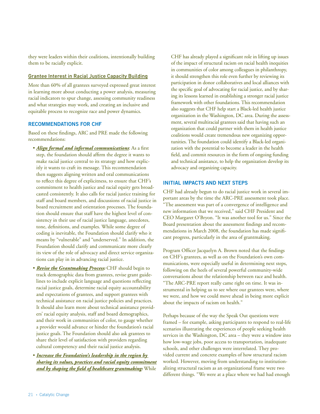they were leaders within their coalitions, intentionally building them to be racially explicit.

### Grantee Interest in Racial Justice Capacity Building

More than 60% of all grantees surveyed expressed great interest in learning more about conducting a power analysis, measuring racial indicators to spur change, assessing community readiness and what strategies may work, and creating an inclusive and equitable process to recognize race and power dynamics.

### **Recommendations for CHF**

Based on these findings, ARC and PRE made the following recommendations:

- *Align formal and informal communications*: As a first step, the foundation should affirm the degree it wants to make racial justice central to its strategy and how explicitly it wants to craft its message. This recommendation then suggests aligning written and oral communications to reflect this degree of explicitness, to ensure that CHF's commitment to health justice and racial equity gets broadcasted consistently. It also calls for racial justice training for staff and board members, and discussions of racial justice in board recruitment and orientation processes. The foundation should ensure that staff have the highest level of consistency in their use of racial justice language, anecdotes, tone, definitions, and examples. While some degree of coding is inevitable, the Foundation should clarify who it means by "vulnerable" and "underserved." In addition, the Foundation should clarify and communicate more clearly its view of the role of advocacy and direct service organizations can play in in advancing racial justice.
- *Revise the Grantmaking Process:* CHF should begin to track demographic data from grantees, revise grant guidelines to include explicit language and questions reflecting racial justice goals, determine racial equity accountability and expectations of grantees, and support grantees with technical assistance on racial justice policies and practices. It should also learn more about technical assistance providers' racial equity analysis, staff and board demographics, and their work in communities of color, to gauge whether a provider would advance or hinder the foundation's racial justice goals. The Foundation should also ask grantees to share their level of satisfaction with providers regarding cultural competency and their racial justice analysis.
- *Increase the Foundation's leadership in the region by sharing its values, practices and racial equity commitment and by shaping the field of healthcare grantmaking:* While

CHF has already played a significant role in lifting up issues of the impact of structural racism on racial health inequities in communities of color among colleagues in philanthropy, it should strengthen this role even further by reviewing its participation in donor collaboratives and local alliances with the specific goal of advocating for racial justice, and by sharing its lessons learned in establishing a stronger racial justice framework with other foundations. This recommendation also suggests that CHF help start a Black-led health justice organization in the Washington, DC area. During the assessment, several multiracial grantees said that having such an organization that could partner with them in health justice coalitions would create tremendous new organizing opportunities. The foundation could identify a Black-led organization with the potential to become a leader in the health field, and commit resources in the form of ongoing funding and technical assistance, to help the organization develop its advocacy and organizing capacity.

### **Initial Impacts and Next Steps**

CHF had already begun to do racial justice work in several important areas by the time the ARC-PRE assessment took place. "The assessment was part of a convergence of intelligence and new information that we received," said CHF President and CEO Margaret O'Bryon. "It was another tool for us." Since the Board presentation about the assessment findings and recommendations in March 2008, the foundation has made significant progress, particularly in the area of grantmaking.

Program Officer Jacquelyn A. Brown noted that the findings on CHF's grantees, as well as on the Foundation's own communications, were especially useful in determining next steps, following on the heels of several powerful community-wide conversations about the relationship between race and health. "The ARC-PRE report really came right on time. It was instrumental in helping us to see where our grantees were, where we were, and how we could move ahead in being more explicit about the impacts of racism on health."

Perhaps because of the way the Speak Out questions were framed – for example, asking participants to respond to real-life scenarios illustrating the experiences of people seeking health services in the Washington, DC area – they were a window into how low-wage jobs, poor access to transportation, inadequate schools, and other challenges were interrelated. They provided current and concrete examples of how structural racism worked. However, moving from understanding to institutionalizing structural racism as an organizational frame were two different things. "We were at a place where we had had enough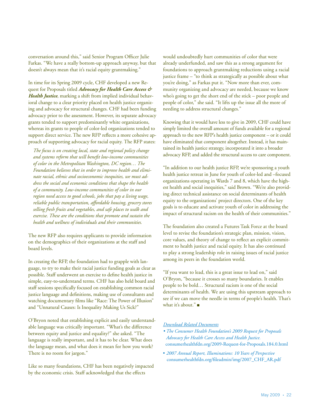conversation around this," said Senior Program Officer Julie Farkas. "We have a really bottom-up approach anyway, but that doesn't always mean that it's racial equity grantmaking."

In time for its Spring 2009 cycle, CHF developed a new Request for Proposals titled *Advocacy for Health Care Access & Health Justice*, marking a shift from implied individual behavioral change to a clear priority placed on health justice organizing and advocacy for structural changes. CHF had been funding advocacy prior to the assessment. However, its separate advocacy grants tended to support predominantly white organizations, whereas its grants to people of color-led organizations tended to support direct service. The new RFP reflects a more cohesive approach of supporting advocacy for racial equity. The RFP states:

*The focus is on creating local, state and regional policy change and systems reform that will benefit low-income communities of color in the Metropolitan Washington, DC region… The Foundation believes that in order to improve health and eliminate racial, ethnic and socioeconomic inequities, we must address the social and economic conditions that shape the health of a community. Low-income communities of color in our region need access to good schools, jobs that pay a living wage, reliable public transportation, affordable housing, grocery stores selling fresh fruits and vegetables, and safe places to walk and exercise. These are the conditions that promote and sustain the health and wellness of individuals and their communities.* 

The new RFP also requires applicants to provide information on the demographics of their organizations at the staff and board levels.

In creating the RFP, the foundation had to grapple with language, to try to make their racial justice funding goals as clear as possible. Staff underwent an exercise to define health justice in simple, easy-to-understand terms. CHF has also held board and staff sessions specifically focused on establishing common racial justice language and definitions, making use of consultants and watching documentary films like "Race: The Power of Illusion" and "Unnatural Causes: Is Inequality Making Us Sick?"

O'Bryon noted that establishing explicit and easily understandable language was critically important. "What's the difference between equity and justice and equality?" she asked. "The language is really important, and it has to be clear. What does the language mean, and what does it mean for how you work? There is no room for jargon."

Like so many foundations, CHF has been negatively impacted by the economic crisis. Staff acknowledged that the effects

would undoubtedly hurt communities of color that were already underfunded, and saw this as a strong argument for foundations to approach grantmaking reductions using a racial justice frame – "to think as strategically as possible about what you're doing," as Farkas put it. "Now more than ever, community organizing and advocacy are needed, because we know who's going to get the short end of the stick – poor people and people of color," she said. "It lifts up the issue all the more of needing to address structural changes."

Knowing that it would have less to give in 2009, CHF could have simply limited the overall amount of funds available for a regional approach to the new RFP's health justice component – or it could have eliminated that component altogether. Instead, it has maintained its health justice strategy, incorporated it into a broader advocacy RFP, and added the structural access to care component.

"In addition to our health justice RFP, we're sponsoring a youth health justice retreat in June for youth of color-led and –focused organizations operating in Wards 7 and 8, which have the highest health and social inequities," said Brown. "We're also providing direct technical assistance on social determinants of health equity to the organizations' project directors. One of the key goals is to educate and activate youth of color in addressing the impact of structural racism on the health of their communities."

The foundation also created a Futures Task Force at the board level to revise the foundation's strategic plan, mission, vision, core values, and theory of change to reflect an explicit commitment to health justice and racial equity. It has also continued to play a strong leadership role in raising issues of racial justice among its peers in the foundation world.

"If you want to lead, this is a great issue to lead on," said O'Bryon, "because it crosses so many boundaries. It enables people to be bold… Structural racism is one of the social determinants of health. We are using this upstream approach to see if we can move the needle in terms of people's health. That's what it's about." $\blacksquare$ 

# *Download Related Documents*

- *The Consumer Health Foundation's 2009 Request for Proposals Advocacy for Health Care Access and Health Justice.* [consumerhealthfdn.org/2009-Request-for-Proposals.184.0.html](www.consumerhealthfdn.org/2009-Request-for-Proposals.184.0.html)
- *2007 Annual Report, Illuminations: 10 Years of Perspective* [consumerhealthfdn.org/fileadmin/img/2007\\_CHF\\_AR.pdf](www.consumerhealthfdn.org/fileadmin/img/2007_CHF_AR.pdf)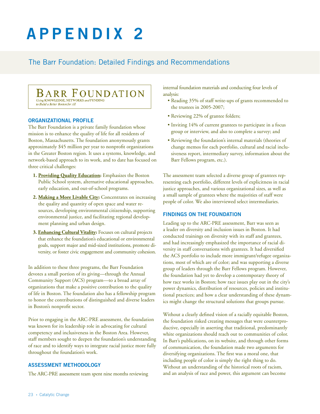# **append i x 2**

# The Barr Foundation: Detailed Findings and Recommendations

# **BARR FOUNDATION** Using KNOWLEDGE, NETWORKS and FUNDING

to Build a Better Boston for Al

# **Organizational Profile**

The Barr Foundation is a private family foundation whose mission is to enhance the quality of life for all residents of Boston, Massachusetts. The foundation anonymously grants approximately \$45 million per year to nonprofit organizations in the Greater Boston region. It uses a systems, knowledge, and network-based approach to its work, and to date has focused on three critical challenges:

- **1. Providing Quality Education:** Emphasizes the Boston Public School system, alternative educational approaches, early education, and out-of-school programs.
- **2. Making a More Livable City:** Concentrates on increasing the quality and quantity of open space and water resources, developing environmental citizenship, supporting environmental justice, and facilitating regional development planning and urban design.
- **3. Enhancing Cultural Vitality:** Focuses on cultural projects that enhance the foundation's educational or environmental goals, support major and mid-sized institutions, promote diversity, or foster civic engagement and community cohesion.

In addition to these three programs, the Barr Foundation devotes a small portion of its giving—through the Annual Community Support (ACS) program—to a broad array of organizations that make a positive contribution to the quality of life in Boston. The foundation also has a fellowship program to honor the contributions of distinguished and diverse leaders in Boston's nonprofit sector.

Prior to engaging in the ARC-PRE assessment, the foundation was known for its leadership role in advocating for cultural competency and inclusiveness in the Boston Area. However, staff members sought to deepen the foundation's understanding of race and to identify ways to integrate racial justice more fully throughout the foundation's work.

# **Assessment Methodology**

The ARC-PRE assessment team spent nine months reviewing

internal foundation materials and conducting four levels of analysis:

- Reading 35% of staff write-ups of grants recommended to the trustees in 2005-2007;
- Reviewing 22% of grantee folders;
- Inviting 14% of current grantees to participate in a focus group or interview, and also to complete a survey; and
- Reviewing the foundation's internal materials (theories of change memos for each portfolio, cultural and racial inclusiveness report, intermediary survey, information about the Barr Fellows program, etc.).

The assessment team selected a diverse group of grantees representing each portfolio, different levels of explicitness in racial justice approaches, and various organizational sizes, as well as a small sample of grantees where the majorities of staff were people of color. We also interviewed select intermediaries.

# **Findings on the Foundation**

Leading up to the ARC-PRE assessment, Barr was seen as a leader on diversity and inclusion issues in Boston. It had conducted trainings on diversity with its staff and grantees, and had increasingly emphasized the importance of racial diversity in staff conversations with grantees. It had diversified the ACS portfolio to include more immigrant/refugee organizations, most of which are of color; and was supporting a diverse group of leaders through the Barr Fellows program. However, the foundation had yet to develop a contemporary theory of how race works in Boston; how race issues play out in the city's power dynamics, distribution of resources, policies and institutional practices; and how a clear understanding of these dynamics might change the structural solutions that groups pursue.

Without a clearly defined vision of a racially equitable Boston, the foundation risked creating messages that were counterproductive, especially in asserting that traditional, predominantly white organizations should reach out to communities of color. In Barr's publications, on its website, and through other forms of communication, the foundation made two arguments for diversifying organizations. The first was a moral one, that including people of color is simply the right thing to do. Without an understanding of the historical roots of racism, and an analysis of race and power, this argument can become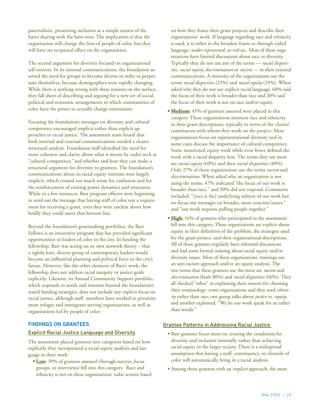paternalistic, presenting inclusion as a simple matter of the haves sharing with the have-nots. The implication is that the organization will change the lives of people of color, but they will have no reciprocal effect on the organization.

The second argument for diversity focused on organizational self-interest. In its external communications, the foundation asserted the need for groups to become diverse in order to perpetuate themselves, because demographics were rapidly changing. While there is nothing wrong with these notions on the surface, they fall short of describing and arguing for a new set of social, political and economic arrangements in which communities of color have the power to actually change institutions.

Focusing the foundation's messages on diversity and cultural competence encouraged implicit rather than explicit approaches to racial justice. The assessment team found that both internal and external communications needed a clearer structural analysis. Foundation staff identified the need for more cohesion and clarity about what is meant by codes such as "cultural competence,"and whether and how they can make a structural argument for diversity to grantees. The foundation's communications about its racial equity interests were largely implicit, which created too much room for confusion and for the reinforcement of existing power dynamics and structures. While in a few instances, Barr program officers were beginning to send out the message that having staff of color was a requirement for receiving a grant, even they were unclear about how boldly they could assert that bottom line.

Beyond the foundation's grantmaking portfolios, the Barr Fellows is an innovative program that has provided significant opportunities to leaders of color in the city. In funding the fellowship, Barr was acting on its own network theory – that a tightly knit, diverse group of contemporary leaders would become an influential planning and political force in the city's future. However, like the other elements of Barr's work, the fellowship does not address racial inequity or justice goals explicitly. Likewise, its Annual Community Support portfolio, which responds to needs and interests beyond the foundation's stated funding strategies, does not include any explicit focus on racial justice, although staff members have worked to prioritize more refugee and immigrant serving organizations, as well as organizations led by people of color.

# **Findings on Grantees**

#### Explicit Racial Justice Language and Diversity

The assessment placed grantees into categories based on how explicitly they incorporated a racial equity analysis and language in their work:

**• Low:** 39% of grantees assessed (through surveys, focus groups, or interviews) fell into this category. Race and ethnicity is not on these organizations' radar screens based on how they frame their grant projects and describe their organizations' work. If language regarding race and ethnicity is used, it is either in the broadest frame or through coded language: *under-represented*, *at-risk* etc. Most of these organizations have limited discussions about race or diversity. Typically they do not use any of the terms — *racial disparities, racial equity, discrimination* or *racism* — in their external communications. A minority of the organizations use the terms *racial disparities* (25%) and *racial equity* (33%). When asked why they do not use explicit racial language, 60% said the focus of their work is broader than race and 20% said the focus of their work is not on race and/or equity.

- **Medium:** 45% of grantees assessed were placed in this category. These organizations mention race and ethnicity in their grant descriptions, typically in terms of the clients/ constituents with whom they work on the project. Most organizations focus on representational diversity and in some cases discuss the importance of cultural competency. Some mentioned equity work while even fewer defined the work with a racial disparity lens. The terms they use most are *racial equity* (60%) and then *racial disparities* (40%). Only 27% of these organizations use the terms *racism* and *discrimination*. When asked why an organization is not using the terms, 47% indicated "the focus of our work is broader than race," and 30% did not respond. Comments included: "[race is the] underlying subtext of our work but we focus our messages on broader, more concrete issues," and "our work requires pulling people together."
- **High:** 16% of grantees who participated in the assessment fell into this category. These organizations are explicit about equity in their definition of the problem, the strategies used for the grant project, and their organizational descriptions. All of these grantees regularly have informal discussions and had some formal training about racial equity and/or diversity issues. Most of these organizations' trainings use an anti-racism approach and/or an equity analysis. The two terms that these grantees use the most are *racism* and *discrimination* (both 80%) and *racial disparities* (60%). They all checked "other" in explaining their reasons for choosing their terminology: some organizations said they used *ethnicity* rather than *race*, one group talks about *justice* vs. *equity*, and another explained, "We let our work speak for us rather than words."

# Grantee Patterns in Addressing Racial Justice

- Barr grantees focus more on creating the conditions for diversity and inclusion internally rather than achieving racial equity in the larger society. There is a widespread assumption that having a staff, constituency, or clientele of color will automatically bring in a racial analysis.
- Among those grantees with an *implicit* approach, the most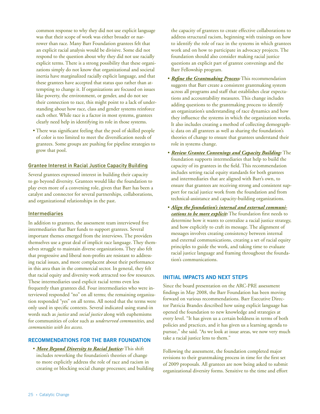common response to why they did not use explicit language was that their scope of work was either broader or narrower than race. Many Barr Foundation grantees felt that an explicit racial analysis would be divisive. Some did not respond to the question about why they did not use racially explicit terms. There is a strong possibility that these organizations simply do not know that organizational and societal inertia have marginalized racially explicit language, and that these grantees have accepted that status quo rather than attempting to change it. If organizations are focused on issues like poverty, the environment, or gender, and do not see their connection to race, this might point to a lack of understanding about how race, class and gender systems reinforce each other. While race is a factor in most systems, grantees clearly need help in identifying its role in those systems.

• There was significant feeling that the pool of skilled people of color is too limited to meet the diversification needs of grantees. Some groups are pushing for pipeline strategies to grow that pool.

# Grantee Interest in Racial Justice Capacity Building

Several grantees expressed interest in building their capacity to go beyond diversity. Grantees would like the foundation to play even more of a convening role, given that Barr has been a catalyst and connector for several partnerships, collaborations, and organizational relationships in the past.

# Intermediaries

In addition to grantees, the assessment team interviewed five intermediaries that Barr funds to support grantees. Several important themes emerged from the interviews. The providers themselves use a great deal of implicit race language. They themselves struggle to maintain diverse organizations. They also felt that progressive and liberal non-profits are resistant to addressing racial issues, and more complacent about their performance in this area than in the commercial sector. In general, they felt that racial equity and diversity work attracted too few resources. These intermediaries used explicit racial terms even less frequently than grantees did. Four intermediaries who were interviewed responded "no" on all terms; the remaining organization responded "yes" on all terms. All noted that the terms were only used in specific contexts. Several indicated using stand-in words such as *justice* and *social justice* along with euphemisms for communities of color such as *underserved communities*, and *communities with less access*.

# **Recommendations for the Barr Foundation**

• *Move Beyond Diversity to Racial Justice:* This shift includes reworking the foundation's theories of change to more explicitly address the role of race and racism in creating or blocking social change processes; and building

the capacity of grantees to create effective collaborations to address structural racism, beginning with trainings on how to identify the role of race in the systems in which grantees work and on how to participate in advocacy projects. The foundation should also consider making racial justice questions an explicit part of grantee convenings and the Barr Fellowship program.

- *Refine the Grantmaking Process:* This recommendation suggests that Barr create a consistent grantmaking system across all programs and staff that establishes clear expectations and accountability measures. This change includes adding questions to the grantmaking process to identify an organization's understanding of race dynamics and how they influence the systems in which the organization works. It also includes creating a method of collecting demographic data on all grantees as well as sharing the foundation's theories of change to ensure that grantees understand their role in systems change.
- *Review Grantee Convenings and Capacity Building:* The foundation supports intermediaries that help to build the capacity of its grantees in the field. This recommendation includes setting racial equity standards for both grantees and intermediaries that are aligned with Barr's own, to ensure that grantees are receiving strong and consistent support for racial justice work from the foundation and from technical-assistance and capacity-building organizations.
- *Align the foundation's internal and external communications to be more explicit:* The foundation first needs to determine how it wants to centralize a racial justice strategy, and how explicitly to craft its message. The alignment of messages involves creating consistency between internal and external communications, creating a set of racial equity principles to guide the work, and taking time to evaluate racial justice language and framing throughout the foundation's communications.

# **Initial Impacts and Next Steps**

Since the board presentation on the ARC-PRE assessment findings in May 2008, the Barr Foundation has been moving forward on various recommendations. Barr Executive Director Patricia Brandes described how using explicit language has opened the foundation to new knowledge and strategies at every level. "It has given us a certain boldness in terms of both policies and practices, and it has given us a learning agenda to pursue," she said. "As we look at issue areas, we now very much take a racial justice lens to them."

Following the assessment, the foundation completed major revisions to their grantmaking process in time for the first set of 2009 proposals. All grantees are now being asked to submit organizational diversity forms. Sensitive to the time and effort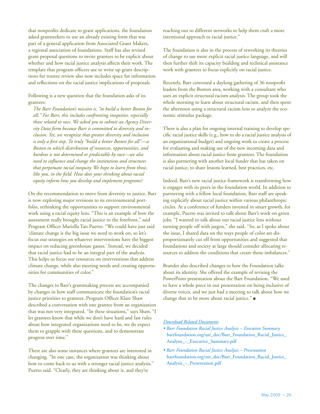that nonprofits dedicate to grant applications, the foundation asked grantseekers to use an already existing form that was part of a general application from Associated Grant Makers, a regional association of foundations. Staff has also revised grant proposal questions to invite grantees to be explicit about whether and how racial justice analysis affects their work. The template that program officers use to write up grant descriptions for trustee review also now includes space for information and reflections on the racial justice implications of proposals.

Following is a new question that the foundation asks of its grantees:

*The Barr Foundation's mission is, "to build a better Boston for all." For Barr, this includes confronting inequities, especially those related to race. We asked you to submit an Agency Diversity Data form because Barr is committed to diversity and inclusion. Yet, we recognize that greater diversity and inclusion is only a first step. To truly "build a better Boston for all"—a Boston in which distribution of resources, opportunities, and burdens is not determined or predictable by race—we also need to influence and change the institutions and structures that perpetuate racial inequity. We hope to learn from those, like you, in the field. How does your thinking about racial equity inform how you develop and implement programs?* 

On the recommendation to move from diversity to justice, Barr is now exploring major revisions to its environmental portfolio, rethinking the opportunities to support environmental work using a racial equity lens. "This is an example of how the assessment really brought racial justice to the forefront," said Program Officer Mariella Tan Puerto. "We could have just said 'climate change is the big issue we need to work on, so let's focus our strategies on whatever interventions have the biggest impact on reducing greenhouse gasses.' Instead, we decided that racial justice had to be an integral part of the analysis. This helps us focus our resources on interventions that address climate change, while also meeting needs and creating opportunities for communities of color."

The changes to Barr's grantmaking process are accompanied by changes in how staff communicate the foundation's racial justice priorities to grantees. Program Officer Klare Shaw described a conversation with one grantee from an organization that was not very integrated. "In these situations," says Shaw, "I let grantees know that while we don't have hard and fast rules about how integrated organizations need to be, we do expect them to grapple with these questions, and to demonstrate progress over time."

There are also some instances where grantees are interested in changing. "In one case, the organization was thinking about how to come back to us with a stronger racial justice analysis," Puerto said. "Clearly, they are thinking about it, and they're

reaching out to different networks to help them craft a more intentional approach to racial justice."

The foundation is also in the process of reworking its theories of change to use more explicit racial justice language, and will then further shift its capacity building and technical assistance work with grantees to focus explicitly on racial justice.

Recently, Barr convened a daylong gathering of 36 nonprofit leaders from the Boston area, working with a consultant who uses an explicit structural racism analysis. The group took the whole morning to learn about structural racism, and then spent the afternoon using a structural racism lens to analyze the economic stimulus package.

There is also a plan for ongoing internal training to develop specific racial justice skills (e.g., how to do a racial justice analysis of an organizational budget) and ongoing work to create a process for evaluating and making use of the new incoming data and information about racial justice from grantees. The foundation is also partnering with another local funder that has taken on racial justice, to share lessons learned, best practices, etc.

Indeed, Barr's new racial justice framework is transforming how it engages with its peers in the foundation world. In addition to partnering with a fellow local foundation, Barr staff are speaking explicitly about racial justice within various philanthropic circles. At a conference of funders invested in smart growth, for example, Puerto was invited to talk about Barr's work on green jobs. "I wanted to talk about our racial justice lens without turning people off with jargon," she said. "So, as I spoke about the issue, I shared data on the ways people of color are disproportionately cut off from opportunities and suggested that foundations and society at large should consider allocating resources to address the conditions that create those imbalances."

Brandes also described changes to how the Foundation talks about its identity. She offered the example of revising the PowerPoint presentation about the Barr Foundation. "We used to have a whole piece in our presentation on being inclusive of diverse voices, and we just had a meeting to talk about how we change that to be more about racial justice." $\blacksquare$ 

# *Download Related Documents*

- *Barr Foundation Racial Justice Analysis Executive Summary* [barrfoundation.org/usr\\_doc/Barr\\_Foundation\\_Racial\\_Justice\\_](http://www.barrfoundation.org/usr_doc/Barr_Foundation_Racial_Justice_Analysis_%E2%80%93_Executive_Summary.pdf) [Analysis\\_–\\_Executive\\_Summary.pdf](http://www.barrfoundation.org/usr_doc/Barr_Foundation_Racial_Justice_Analysis_%E2%80%93_Executive_Summary.pdf)
- *Barr Foundation Racial Justice Analysis Presentation* [barrfoundation.org/usr\\_doc/Barr\\_Foundation\\_Racial\\_Justice\\_](http://www.barrfoundation.org/usr_doc/Barr_Foundation_Racial_Justice_Analysis_%E2%80%93_Presentation.pdf)  [Analysis\\_–\\_Presentation.pd](http://www.barrfoundation.org/usr_doc/Barr_Foundation_Racial_Justice_Analysis_%E2%80%93_Presentation.pdf)f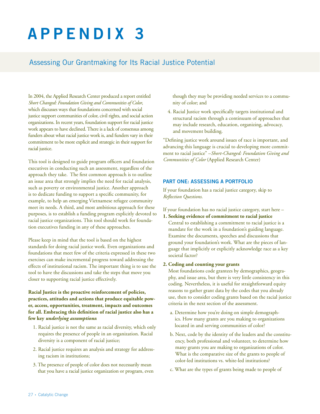# **append i x 3**

# Assessing Our Grantmaking for Its Racial Justice Potential

In 2004, the Applied Research Center produced a report entitled *Short Changed: Foundation Giving and Communities of Color*, which discusses ways that foundations concerned with social justice support communities of color, civil rights, and social action organizations. In recent years, foundation support for racial justice work appears to have declined. There is a lack of consensus among funders about what racial justice work is, and funders vary in their commitment to be more explicit and strategic in their support for racial justice.

This tool is designed to guide program officers and foundation executives in conducting such an assessment, regardless of the approach they take. The first common approach is to outline an issue area that strongly implies the need for racial analysis, such as poverty or environmental justice. Another approach is to dedicate funding to support a specific community, for example, to help an emerging Vietnamese refugee community meet its needs. A third, and most ambitious approach for these purposes, is to establish a funding program explicitly devoted to racial justice organizations. This tool should work for foundation executives funding in any of these approaches.

Please keep in mind that the tool is based on the highest standards for doing racial justice work. Even organizations and foundations that meet few of the criteria expressed in these two exercises can make incremental progress toward addressing the effects of institutional racism. The important thing is to use the tool to have the discussions and take the steps that move you closer to supporting racial justice effectively.

**Racial Justice is the proactive reinforcement of policies, practices, attitudes and actions that produce equitable power, access, opportunities, treatment, impacts and outcomes for all. Embracing this definition of racial justice also has a few key** *underlying assumptions***:**

- 1. Racial justice is not the same as racial diversity, which only requires the presence of people in an organization. Racial diversity is a component of racial justice;
- 2. Racial justice requires an analysis and strategy for addressing racism in institutions;
- 3. The presence of people of color does not necessarily mean that you have a racial justice organization or program, even

though they may be providing needed services to a community of color; and

4. Racial Justice work specifically targets institutional and structural racism through a continuum of approaches that may include research, education, organizing, advocacy, and movement building.

"Defining justice work around issues of race is important, and advancing this language is crucial to developing more commitment to racial justice" –*Short-Changed: Foundation Giving and Communities of Color* (Applied Research Center)

# **Part One: Assessing a Portfolio**

If your foundation has a racial justice category, skip to *Reflection Questions*.

If your foundation has no racial justice category, start here –

**1. Seeking evidence of commitment to racial justice** Central to establishing a commitment to racial justice is a mandate for the work in a foundation's guiding language. Examine the documents, speeches and discussions that ground your foundation's work. What are the pieces of language that implicitly or explicitly acknowledge race as a key societal factor?

#### **2. Coding and counting your grants**

Most foundations code grantees by demographics, geography, and issue area, but there is very little consistency in this coding. Nevertheless, it is useful for straightforward equity reasons to gather grant data by the codes that you already use, then to consider coding grants based on the racial justice criteria in the next section of the assessment.

- a. Determine how you're doing on simple demographics. How many grants are you making to organizations located in and serving communities of color?
- b. Next, code by the identity of the leaders and the constituency, both professional and volunteer, to determine how many grants you are making to organizations of color. What is the comparative size of the grants to people of color-led institutions vs. white-led institutions?
- c. What are the types of grants being made to people of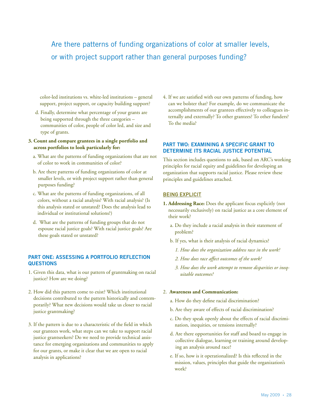# Are there patterns of funding organizations of color at smaller levels, or with project support rather than general purposes funding?

color-led institutions vs. white-led institutions – general support, project support, or capacity building support?

d. Finally, determine what percentage of your grants are being supported through the three categories – communities of color, people of color led, and size and type of grants.

### **3. Count and compare grantees in a single portfolio and across portfolios to look particularly for:**

- a. What are the patterns of funding organizations that are not of color to work in communities of color?
- b. Are there patterns of funding organizations of color at smaller levels, or with project support rather than general purposes funding?
- c. What are the patterns of funding organizations, of all colors, without a racial analysis? With racial analysis? (Is this analysis stated or unstated? Does the analysis lead to individual or institutional solutions?)
- d. What are the patterns of funding groups that do not espouse racial justice goals? With racial justice goals? Are these goals stated or unstated?

# **Part One: Assessing a Portfolio Reflection Questions**

- 1. Given this data, what is our pattern of grantmaking on racial justice? How are we doing?
- 2. How did this pattern come to exist? Which institutional decisions contributed to the pattern historically and contemporarily? What new decisions would take us closer to racial justice grantmaking?
- 3. If the pattern is due to a characteristic of the field in which our grantees work, what steps can we take to support racial justice grantseekers? Do we need to provide technical assistance for emerging organizations and communities to apply for our grants, or make it clear that we are open to racial analysis in applications?

4. If we are satisfied with our own patterns of funding, how can we bolster that? For example, do we communicate the accomplishments of our grantees effectively to colleagues internally and externally? To other grantees? To other funders? To the media?

# **Part Two: Examining a specific grant to determine its racial justice potential**

This section includes questions to ask, based on ARC's working principles for racial equity and guidelines for developing an organization that supports racial justice. Please review these principles and guidelines attached.

# BEING EXPLICIT

- **1. Addressing Race:** Does the applicant focus explicitly (not necessarily exclusively) on racial justice as a core element of their work?
	- a. Do they include a racial analysis in their statement of problem?
	- b. If yes, what is their analysis of racial dynamics?
		- *1. How does the organization address race in the work?*
		- *2. How does race affect outcomes of the work?*
		- *3. How does the work attempt to remove disparities or inequitable outcomes?*

#### 2. **Awareness and Communication:**

- a. How do they define racial discrimination?
- b. Are they aware of effects of racial discrimination?
- c. Do they speak openly about the effects of racial discrimination, inequities, or tensions internally?
- d. Are there opportunities for staff and board to engage in collective dialogue, learning or training around developing an analysis around race?
- e. If so, how is it operationalized? Is this reflected in the mission, values, principles that guide the organization's work?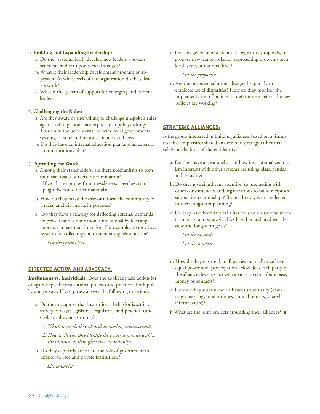### 3. **Building and Expanding Leadership:**

- a. Do they systematically develop new leaders who can articulate and act upon a racial analysis?
- b. What is their leadership development program or approach? At what levels of the organization do these leaders work?
- c. What is the system of support for emerging and current leaders?

### 4. **Challenging the Rules:**

- a. Are they aware of and willing to challenge unspoken rules against talking about race explicitly in policymaking? This could include internal policies, local governmental systems, or state and national policies and laws.
- b. Do they have an internal education plan and an external communications plan?

# 5. **Spreading the Word:**

- a. Among their stakeholders, are there mechanisms to communicate issues of racial discrimination?
- 1. If yes, list examples from newsletters, speeches, campaign flyers and other materials:
- b. How do they make the case or inform the community of a racial analysis and its importance?
- c. Do they have a strategy for deflecting external demands to prove that discrimination is intentional by focusing more on impact than intention. For example, do they have systems for collecting and disseminating relevant data?

*List the systems here:* 

# **DIRECTED ACTION AND ADVOCACY:**

**Institutions vs. Individuals:** Does the applicant take action for or against specific institutional policies and practices, both public and private? If yes, please answer the following questions:

- a. Do they recognize that institutional behavior is set in a variety of ways: legislative, regulatory and practical (unspoken rules and patterns)?
	- *1. Which items do they identify as needing improvement?*
	- *2. How easily can they identify the power dynamics within the institutions that affect their community?*
- b. Do they explicitly articulate the role of government in relation to race and private institutions?

*List examples:* 

c. Do they generate new policy or regulatory proposals, or propose new frameworks for approaching problems on a local, state, or national level?

*List the proposals:* 

d. Are the proposed solutions designed explicitly to eradicate racial disparities? How do they monitor the implementation of policies to determine whether the new policies are working?

# **STRATEGIC ALLIANCES:**

Is the group interested in building alliances based on a litmus test that emphasizes shared analysis and strategy rather than solely on the basis of shared identity?

- a. Do they have a clear analysis of how institutionalized racism interacts with other systems including class, gender and sexuality?
- b. Do they give significant attention to interacting with other constituencies and organizations to build reciprocal supportive relationships? If they do not, is this reflected in their long-term planning?
- c. Do they have both tactical allies focused on specific shortterm goals, and strategic allies based on a shared worldview and long-term goals?

*List the tactical:* 

*List the strategic:* 

- d. How do they ensure that all parties in an alliance have equal power and participation? How does each party in the alliance develop its own capacity to contribute base, money or contacts?
- e. How do they sustain their alliances structurally (campaign meetings, one-on-ones, annual retreats, shared infrastructure)?
- f. What are the joint projects grounding their alliances?  $\blacksquare$